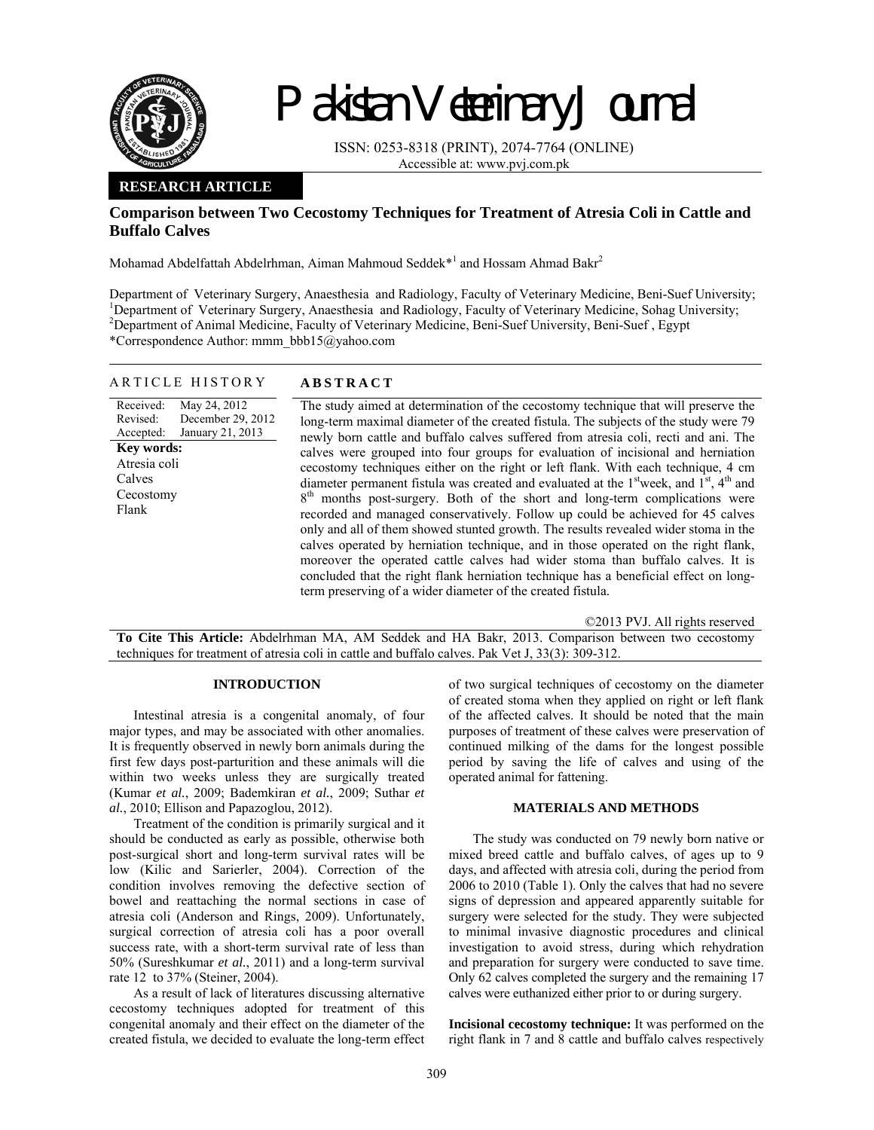

# Pakistan Veterinary Journal

ISSN: 0253-8318 (PRINT), 2074-7764 (ONLINE) Accessible at: www.pvj.com.pk

## **RESEARCH ARTICLE**

## **Comparison between Two Cecostomy Techniques for Treatment of Atresia Coli in Cattle and Buffalo Calves**

Mohamad Abdelfattah Abdelrhman, Aiman Mahmoud Seddek $*^{1}$  and Hossam Ahmad Bakr<sup>2</sup>

Department of Veterinary Surgery, Anaesthesia and Radiology, Faculty of Veterinary Medicine, Beni-Suef University; <sup>1</sup>Department of Veterinary Surgery, Anaesthesia and Radiology, Faculty of Veterinary Medicine, Sohag University; <sup>2</sup>Department of Animal Medicine, Faculty of Veterinary Medicine, Beni-Suef University, Beni-Suef, Egypt \*Correspondence Author: mmm\_bbb15@yahoo.com

| ANTICLE FIBIONI                                                                                                                                                  | A D D I IN A U I                                                                                                                                                                                                                                                                                                                                                                                                                                                                                                                                                                                                                                                                                                                                                                                                                                                                                                                                                                                                                                                                                                                                  |
|------------------------------------------------------------------------------------------------------------------------------------------------------------------|---------------------------------------------------------------------------------------------------------------------------------------------------------------------------------------------------------------------------------------------------------------------------------------------------------------------------------------------------------------------------------------------------------------------------------------------------------------------------------------------------------------------------------------------------------------------------------------------------------------------------------------------------------------------------------------------------------------------------------------------------------------------------------------------------------------------------------------------------------------------------------------------------------------------------------------------------------------------------------------------------------------------------------------------------------------------------------------------------------------------------------------------------|
| May 24, 2012<br>Received:<br>December 29, 2012<br>Revised:<br>January 21, 2013<br>Accepted:<br><b>Key words:</b><br>Atresia coli<br>Calves<br>Cecostomy<br>Flank | The study aimed at determination of the cecostomy technique that will preserve the<br>long-term maximal diameter of the created fistula. The subjects of the study were 79<br>newly born cattle and buffalo calves suffered from atresia coli, recti and ani. The<br>calves were grouped into four groups for evaluation of incisional and herniation<br>cecostomy techniques either on the right or left flank. With each technique, 4 cm<br>diameter permanent fistula was created and evaluated at the $1st$ week, and $1st$ , $4th$ and<br>months post-surgery. Both of the short and long-term complications were<br>8 <sup>tn</sup><br>recorded and managed conservatively. Follow up could be achieved for 45 calves<br>only and all of them showed stunted growth. The results revealed wider stoma in the<br>calves operated by herniation technique, and in those operated on the right flank,<br>moreover the operated cattle calves had wider stoma than buffalo calves. It is<br>concluded that the right flank herniation technique has a beneficial effect on long-<br>term preserving of a wider diameter of the created fistula. |

©2013 PVJ. All rights reserved

**To Cite This Article:** Abdelrhman MA, AM Seddek and HA Bakr, 2013. Comparison between two cecostomy techniques for treatment of atresia coli in cattle and buffalo calves. Pak Vet J, 33(3): 309-312.

## **INTRODUCTION**

ARTICLE HISTORY **ABSTRACT** 

Intestinal atresia is a congenital anomaly, of four major types, and may be associated with other anomalies. It is frequently observed in newly born animals during the first few days post-parturition and these animals will die within two weeks unless they are surgically treated (Kumar *et al.*, 2009; Bademkiran *et al.*, 2009; Suthar *et al.*, 2010; Ellison and Papazoglou, 2012).

Treatment of the condition is primarily surgical and it should be conducted as early as possible, otherwise both post-surgical short and long-term survival rates will be low (Kilic and Sarierler, 2004). Correction of the condition involves removing the defective section of bowel and reattaching the normal sections in case of atresia coli (Anderson and Rings, 2009). Unfortunately, surgical correction of atresia coli has a poor overall success rate, with a short-term survival rate of less than 50% (Sureshkumar *et al.*, 2011) and a long-term survival rate 12 to 37% (Steiner, 2004).

As a result of lack of literatures discussing alternative cecostomy techniques adopted for treatment of this congenital anomaly and their effect on the diameter of the created fistula, we decided to evaluate the long-term effect

of two surgical techniques of cecostomy on the diameter of created stoma when they applied on right or left flank of the affected calves. It should be noted that the main purposes of treatment of these calves were preservation of continued milking of the dams for the longest possible period by saving the life of calves and using of the operated animal for fattening.

### **MATERIALS AND METHODS**

The study was conducted on 79 newly born native or mixed breed cattle and buffalo calves, of ages up to 9 days, and affected with atresia coli, during the period from 2006 to 2010 (Table 1). Only the calves that had no severe signs of depression and appeared apparently suitable for surgery were selected for the study. They were subjected to minimal invasive diagnostic procedures and clinical investigation to avoid stress, during which rehydration and preparation for surgery were conducted to save time. Only 62 calves completed the surgery and the remaining 17 calves were euthanized either prior to or during surgery.

**Incisional cecostomy technique:** It was performed on the right flank in 7 and 8 cattle and buffalo calves respectively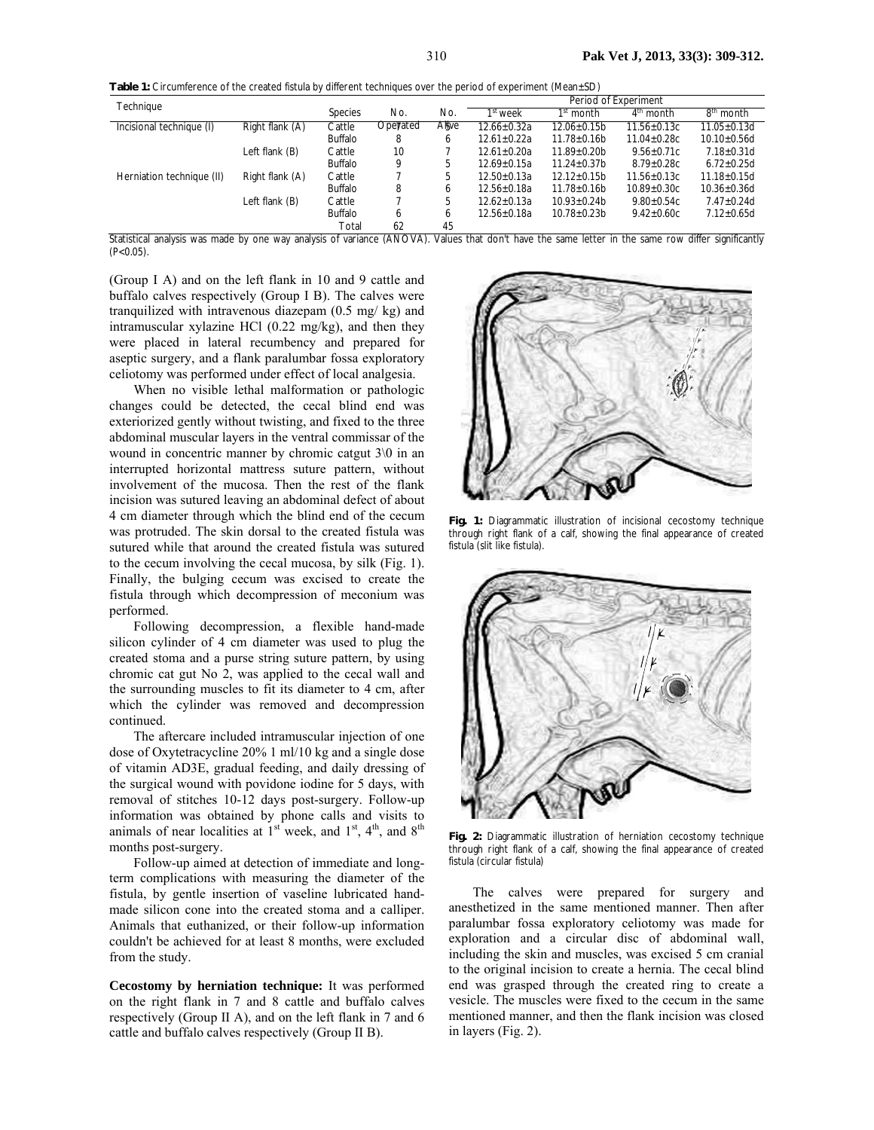**Table 1:** Circumference of the created fistula by different techniques over the period of experiment (Mean±SD)

| Technique                 |                  |                |          |        | Period of Experiment |                    |                   |                       |
|---------------------------|------------------|----------------|----------|--------|----------------------|--------------------|-------------------|-----------------------|
|                           |                  | <b>Species</b> | No.      | No.    | 1 <sup>st</sup> week | $1st$ month        | $4th$ month       | 8 <sup>th</sup> month |
| Incisional technique (I)  | Right flank (A)  | Cattle         | Opeyated | Allive | $12.66 \pm 0.32a$    | $12.06 + 0.15b$    | $11.56 + 0.13c$   | $11.05 + 0.13d$       |
|                           |                  | <b>Buffalo</b> | 8        | 6      | $12.61 + 0.22a$      | $11.78 + 0.16b$    | $11.04 + 0.28c$   | $10.10 + 0.56d$       |
|                           | Left flank (B)   | Cattle         | 10       |        | $12.61 + 0.20a$      | $11.89 \pm 0.20$ b | $9.56 \pm 0.71$ c | $7.18 \pm 0.31$ d     |
|                           |                  | <b>Buffalo</b> | 9        | 5      | $12.69 + 0.15a$      | $11.24 \pm 0.37$ b | $8.79 + 0.28c$    | $6.72 \pm 0.25d$      |
| Herniation technique (II) | Right flank (A)  | Cattle         |          | 5      | $12.50 + 0.13a$      | $12.12 \pm 0.15b$  | $11.56 \pm 0.13c$ | $11.18 \pm 0.15d$     |
|                           |                  | <b>Buffalo</b> | 8        | b      | $12.56 \pm 0.18a$    | $11.78 \pm 0.16$   | $10.89 \pm 0.30c$ | $10.36 \pm 0.36$ d    |
|                           | Left flank $(B)$ | Cattle         |          | 5      | $12.62 \pm 0.13a$    | $10.93 \pm 0.24$ b | $9.80 \pm 0.54$ c | $7.47 \pm 0.24$ d     |
|                           |                  | <b>Buffalo</b> | b        | b      | $12.56 + 0.18a$      | $10.78 + 0.23b$    | $9.42 + 0.60c$    | $7.12 \pm 0.65$ d     |
|                           |                  | Total          | 62       | 45     |                      |                    |                   |                       |

Statistical analysis was made by one way analysis of variance (ANOVA). Values that don't have the same letter in the same row differ significantly  $(P<0.05)$ .

(Group I A) and on the left flank in 10 and 9 cattle and buffalo calves respectively (Group I B). The calves were tranquilized with intravenous diazepam (0.5 mg/ kg) and intramuscular xylazine HCl (0.22 mg/kg), and then they were placed in lateral recumbency and prepared for aseptic surgery, and a flank paralumbar fossa exploratory celiotomy was performed under effect of local analgesia.

When no visible lethal malformation or pathologic changes could be detected, the cecal blind end was exteriorized gently without twisting, and fixed to the three abdominal muscular layers in the ventral commissar of the wound in concentric manner by chromic catgut 3\0 in an interrupted horizontal mattress suture pattern, without involvement of the mucosa. Then the rest of the flank incision was sutured leaving an abdominal defect of about 4 cm diameter through which the blind end of the cecum was protruded. The skin dorsal to the created fistula was sutured while that around the created fistula was sutured to the cecum involving the cecal mucosa, by silk (Fig. 1). Finally, the bulging cecum was excised to create the fistula through which decompression of meconium was performed.

Following decompression, a flexible hand-made silicon cylinder of 4 cm diameter was used to plug the created stoma and a purse string suture pattern, by using chromic cat gut No 2, was applied to the cecal wall and the surrounding muscles to fit its diameter to 4 cm, after which the cylinder was removed and decompression continued.

The aftercare included intramuscular injection of one dose of Oxytetracycline 20% 1 ml/10 kg and a single dose of vitamin AD3E, gradual feeding, and daily dressing of the surgical wound with povidone iodine for 5 days, with removal of stitches 10-12 days post-surgery. Follow-up information was obtained by phone calls and visits to animals of near localities at  $1<sup>st</sup>$  week, and  $1<sup>st</sup>$ ,  $4<sup>th</sup>$ , and  $8<sup>th</sup>$ months post-surgery.

Follow-up aimed at detection of immediate and longterm complications with measuring the diameter of the fistula, by gentle insertion of vaseline lubricated handmade silicon cone into the created stoma and a calliper. Animals that euthanized, or their follow-up information couldn't be achieved for at least 8 months, were excluded from the study.

**Cecostomy by herniation technique:** It was performed on the right flank in 7 and 8 cattle and buffalo calves respectively (Group II A), and on the left flank in 7 and 6 cattle and buffalo calves respectively (Group II B).



**Fig. 1:** Diagrammatic illustration of incisional cecostomy technique through right flank of a calf, showing the final appearance of created fistula (slit like fistula).



**Fig. 2:** Diagrammatic illustration of herniation cecostomy technique through right flank of a calf, showing the final appearance of created fistula (circular fistula)

The calves were prepared for surgery and anesthetized in the same mentioned manner. Then after paralumbar fossa exploratory celiotomy was made for exploration and a circular disc of abdominal wall, including the skin and muscles, was excised 5 cm cranial to the original incision to create a hernia. The cecal blind end was grasped through the created ring to create a vesicle. The muscles were fixed to the cecum in the same mentioned manner, and then the flank incision was closed in layers (Fig. 2).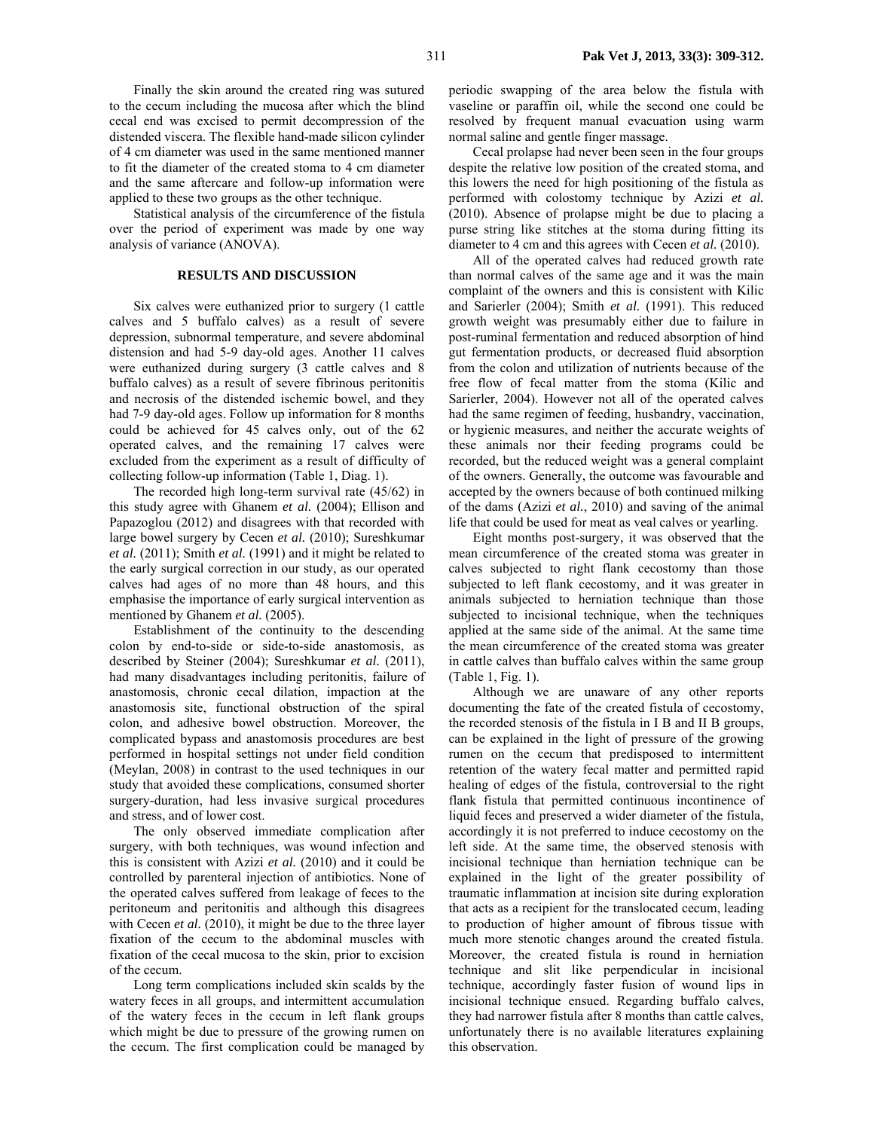Finally the skin around the created ring was sutured to the cecum including the mucosa after which the blind cecal end was excised to permit decompression of the distended viscera. The flexible hand-made silicon cylinder of 4 cm diameter was used in the same mentioned manner to fit the diameter of the created stoma to 4 cm diameter and the same aftercare and follow-up information were applied to these two groups as the other technique.

Statistical analysis of the circumference of the fistula over the period of experiment was made by one way analysis of variance (ANOVA).

#### **RESULTS AND DISCUSSION**

Six calves were euthanized prior to surgery (1 cattle calves and 5 buffalo calves) as a result of severe depression, subnormal temperature, and severe abdominal distension and had 5-9 day-old ages. Another 11 calves were euthanized during surgery (3 cattle calves and 8 buffalo calves) as a result of severe fibrinous peritonitis and necrosis of the distended ischemic bowel, and they had 7-9 day-old ages. Follow up information for 8 months could be achieved for 45 calves only, out of the 62 operated calves, and the remaining 17 calves were excluded from the experiment as a result of difficulty of collecting follow-up information (Table 1, Diag. 1).

The recorded high long-term survival rate (45/62) in this study agree with Ghanem *et al.* (2004); Ellison and Papazoglou (2012) and disagrees with that recorded with large bowel surgery by Cecen *et al.* (2010); Sureshkumar *et al.* (2011); Smith *et al.* (1991) and it might be related to the early surgical correction in our study, as our operated calves had ages of no more than 48 hours, and this emphasise the importance of early surgical intervention as mentioned by Ghanem *et al.* (2005).

Establishment of the continuity to the descending colon by end-to-side or side-to-side anastomosis, as described by Steiner (2004); Sureshkumar *et al.* (2011), had many disadvantages including peritonitis, failure of anastomosis, chronic cecal dilation, impaction at the anastomosis site, functional obstruction of the spiral colon, and adhesive bowel obstruction. Moreover, the complicated bypass and anastomosis procedures are best performed in hospital settings not under field condition (Meylan, 2008) in contrast to the used techniques in our study that avoided these complications, consumed shorter surgery-duration, had less invasive surgical procedures and stress, and of lower cost.

The only observed immediate complication after surgery, with both techniques, was wound infection and this is consistent with Azizi *et al.* (2010) and it could be controlled by parenteral injection of antibiotics. None of the operated calves suffered from leakage of feces to the peritoneum and peritonitis and although this disagrees with Cecen *et al.* (2010), it might be due to the three layer fixation of the cecum to the abdominal muscles with fixation of the cecal mucosa to the skin, prior to excision of the cecum.

Long term complications included skin scalds by the watery feces in all groups, and intermittent accumulation of the watery feces in the cecum in left flank groups which might be due to pressure of the growing rumen on the cecum. The first complication could be managed by

periodic swapping of the area below the fistula with vaseline or paraffin oil, while the second one could be resolved by frequent manual evacuation using warm normal saline and gentle finger massage.

Cecal prolapse had never been seen in the four groups despite the relative low position of the created stoma, and this lowers the need for high positioning of the fistula as performed with colostomy technique by Azizi *et al.* (2010). Absence of prolapse might be due to placing a purse string like stitches at the stoma during fitting its diameter to 4 cm and this agrees with Cecen *et al.* (2010).

All of the operated calves had reduced growth rate than normal calves of the same age and it was the main complaint of the owners and this is consistent with Kilic and Sarierler (2004); Smith *et al.* (1991). This reduced growth weight was presumably either due to failure in post-ruminal fermentation and reduced absorption of hind gut fermentation products, or decreased fluid absorption from the colon and utilization of nutrients because of the free flow of fecal matter from the stoma (Kilic and Sarierler, 2004). However not all of the operated calves had the same regimen of feeding, husbandry, vaccination, or hygienic measures, and neither the accurate weights of these animals nor their feeding programs could be recorded, but the reduced weight was a general complaint of the owners. Generally, the outcome was favourable and accepted by the owners because of both continued milking of the dams (Azizi *et al.*, 2010) and saving of the animal life that could be used for meat as veal calves or yearling.

Eight months post-surgery, it was observed that the mean circumference of the created stoma was greater in calves subjected to right flank cecostomy than those subjected to left flank cecostomy, and it was greater in animals subjected to herniation technique than those subjected to incisional technique, when the techniques applied at the same side of the animal. At the same time the mean circumference of the created stoma was greater in cattle calves than buffalo calves within the same group (Table 1, Fig. 1).

Although we are unaware of any other reports documenting the fate of the created fistula of cecostomy, the recorded stenosis of the fistula in I B and II B groups, can be explained in the light of pressure of the growing rumen on the cecum that predisposed to intermittent retention of the watery fecal matter and permitted rapid healing of edges of the fistula, controversial to the right flank fistula that permitted continuous incontinence of liquid feces and preserved a wider diameter of the fistula, accordingly it is not preferred to induce cecostomy on the left side. At the same time, the observed stenosis with incisional technique than herniation technique can be explained in the light of the greater possibility of traumatic inflammation at incision site during exploration that acts as a recipient for the translocated cecum, leading to production of higher amount of fibrous tissue with much more stenotic changes around the created fistula. Moreover, the created fistula is round in herniation technique and slit like perpendicular in incisional technique, accordingly faster fusion of wound lips in incisional technique ensued. Regarding buffalo calves, they had narrower fistula after 8 months than cattle calves, unfortunately there is no available literatures explaining this observation.